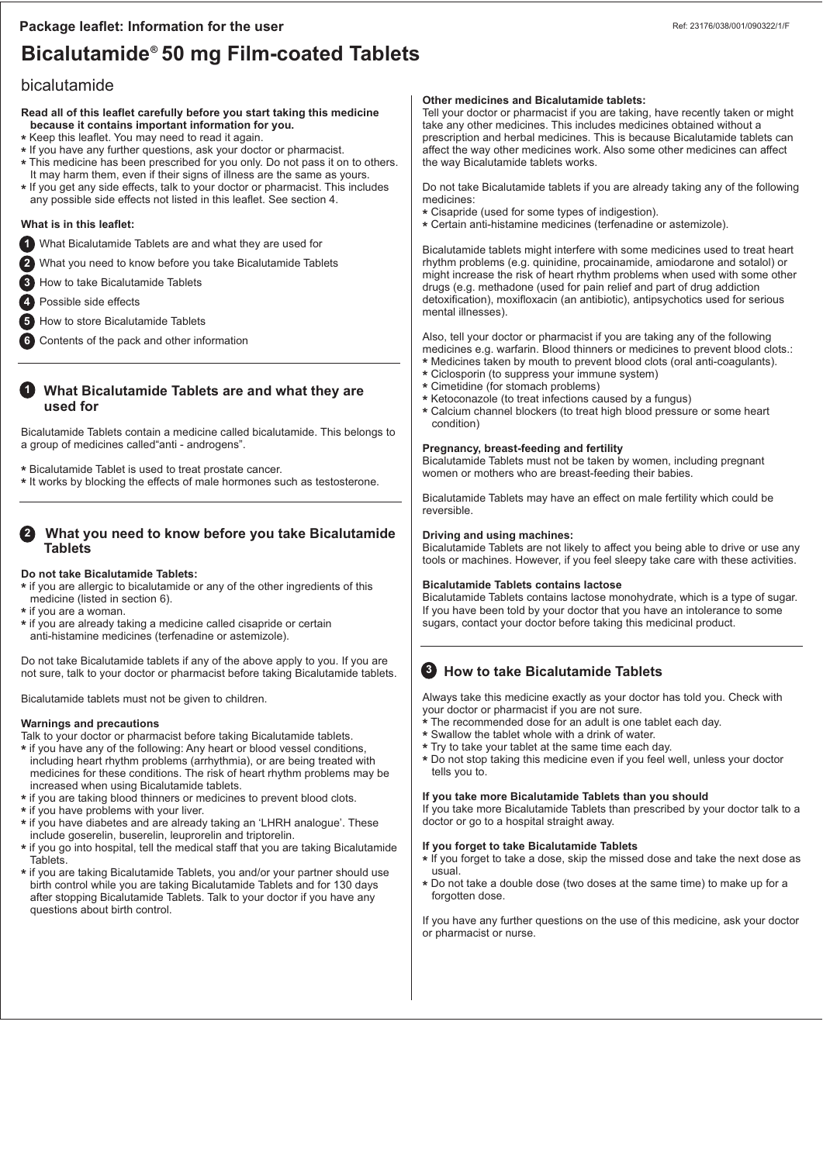# Bicalutamide® 50 mg Film-coated Tablets

## bicalutamide

**Read all of this leaflet carefully before you start taking this medicine because it contains important information for you.** 

- **\*** Keep this leaflet. You may need to read it again.
- **\*** If you have any further questions, ask your doctor or pharmacist. **\*** This medicine has been prescribed for you only. Do not pass it on to others. It may harm them, even if their signs of illness are the same as yours.
- **\*** If you get any side effects, talk to your doctor or pharmacist. This includes
- any possible side effects not listed in this leaflet. See section 4.

### **What is in this leaflet:**

- What Bicalutamide Tablets are and what they are used for **1**
- What you need to know before you take Bicalutamide Tablets **2**
- How to take Bicalutamide Tablets **3**
- Possible side effects **4**
- How to store Bicalutamide Tablets **5**
- Contents of the pack and other information **6**

## **1** What Bicalutamide Tablets are and what they are  **used for**

Bicalutamide Tablets contain a medicine called bicalutamide. This belongs to a group of medicines called"anti - androgens".

**\*** Bicalutamide Tablet is used to treat prostate cancer.

**\*** It works by blocking the effects of male hormones such as testosterone.

#### **What you need to know before you take Bicalutamide Tablets 2**

### **Do not take Bicalutamide Tablets:**

**\*** if you are allergic to bicalutamide or any of the other ingredients of this medicine (listed in section 6).

- **\*** if you are a woman.
- **\*** if you are already taking a medicine called cisapride or certain
- anti-histamine medicines (terfenadine or astemizole).

Do not take Bicalutamide tablets if any of the above apply to you. If you are not sure, talk to your doctor or pharmacist before taking Bicalutamide tablets.

Bicalutamide tablets must not be given to children.

#### **Warnings and precautions**

- Talk to your doctor or pharmacist before taking Bicalutamide tablets.
- **\*** if you have any of the following: Any heart or blood vessel conditions, including heart rhythm problems (arrhythmia), or are being treated with medicines for these conditions. The risk of heart rhythm problems may be increased when using Bicalutamide tablets.
- **\*** if you are taking blood thinners or medicines to prevent blood clots.
- **\*** if you have problems with your liver.
- **\*** if you have diabetes and are already taking an 'LHRH analogue'. These include goserelin, buserelin, leuprorelin and triptorelin.
- **\*** if you go into hospital, tell the medical staff that you are taking Bicalutamide Tablets.
- **\*** if you are taking Bicalutamide Tablets, you and/or your partner should use birth control while you are taking Bicalutamide Tablets and for 130 days after stopping Bicalutamide Tablets. Talk to your doctor if you have any questions about birth control.

### **Other medicines and Bicalutamide tablets:**

Tell your doctor or pharmacist if you are taking, have recently taken or might take any other medicines. This includes medicines obtained without a prescription and herbal medicines. This is because Bicalutamide tablets can affect the way other medicines work. Also some other medicines can affect the way Bicalutamide tablets works.

Do not take Bicalutamide tablets if you are already taking any of the following medicines:

- **\*** Cisapride (used for some types of indigestion).
- **\*** Certain anti-histamine medicines (terfenadine or astemizole).

Bicalutamide tablets might interfere with some medicines used to treat heart rhythm problems (e.g. quinidine, procainamide, amiodarone and sotalol) or might increase the risk of heart rhythm problems when used with some other drugs (e.g. methadone (used for pain relief and part of drug addiction detoxification), moxifloxacin (an antibiotic), antipsychotics used for serious mental illnesses).

Also, tell your doctor or pharmacist if you are taking any of the following medicines e.g. warfarin. Blood thinners or medicines to prevent blood clots.: **\*** Medicines taken by mouth to prevent blood clots (oral anti-coagulants).

- **\*** Ciclosporin (to suppress your immune system)
- **\*** Cimetidine (for stomach problems)
- **\*** Ketoconazole (to treat infections caused by a fungus)
- **\*** Calcium channel blockers (to treat high blood pressure or some heart condition)

#### **Pregnancy, breast-feeding and fertility**

Bicalutamide Tablets must not be taken by women, including pregnant women or mothers who are breast-feeding their babies.

Bicalutamide Tablets may have an effect on male fertility which could be reversible.

#### **Driving and using machines:**

Bicalutamide Tablets are not likely to affect you being able to drive or use any tools or machines. However, if you feel sleepy take care with these activities.

#### **Bicalutamide Tablets contains lactose**

Bicalutamide Tablets contains lactose monohydrate, which is a type of sugar. If you have been told by your doctor that you have an intolerance to some sugars, contact your doctor before taking this medicinal product.

## **8** How to take Bicalutamide Tablets

Always take this medicine exactly as your doctor has told you. Check with your doctor or pharmacist if you are not sure.

- The recommended dose for an adult is one tablet each day.
- **\*** Swallow the tablet whole with a drink of water.
- **\*** Try to take your tablet at the same time each day.
- **\*** Do not stop taking this medicine even if you feel well, unless your doctor tells you to.

#### **If you take more Bicalutamide Tablets than you should**

If you take more Bicalutamide Tablets than prescribed by your doctor talk to a doctor or go to a hospital straight away.

#### **If you forget to take Bicalutamide Tablets**

**\*** If you forget to take a dose, skip the missed dose and take the next dose as usual.

**\*** Do not take a double dose (two doses at the same time) to make up for a forgotten dose.

If you have any further questions on the use of this medicine, ask your doctor or pharmacist or nurse.